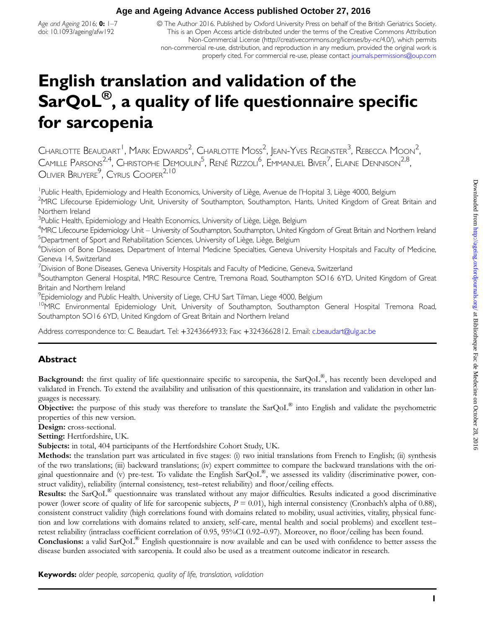Age and Ageing 2016;  $0: 1-7$ doi: 10.1093/ageing/afw192

© The Author 2016. Published by Oxford University Press on behalf of the British Geriatrics Society. This is an Open Access article distributed under the terms of the Creative Commons Attribution Non-Commercial License [\(http://creativecommons.org/licenses/by-nc/4.0/](http://http://creativecommons.org/licenses/by-nc/4.0/)), which permits non-commercial re-use, distribution, and reproduction in any medium, provided the original work is properly cited. For commercial re-use, please contact journals.permissions@oup.com

# English translation and validation of the SarQoL<sup>®</sup>, a quality of life questionnaire specific for sarcopenia

Charlotte Beaudart<sup> I</sup>, Mark Edwards<sup>2</sup>, Charlotte Moss<sup>2</sup>, Jean-Yves Reginster<sup>3</sup>, Rebecca Moon<sup>2</sup> , Camille Parsons<sup>2,4</sup>, Christophe Demoulin<sup>5</sup>, René Rizzoli<sup>6</sup>, Emmanuel Biver<sup>7</sup>, Elaine Dennison<sup>2,8</sup>, OLIVIER BRUYERE<sup>9</sup>, CYRUS COOPER<sup>2,10</sup>

<sup>1</sup> Public Health, Epidemiology and Health Economics, University of Liège, Avenue de l'Hopital 3, Liège 4000, Belgium <sup>2</sup>MRC Lifecourse Epidemiology Unit, University of Southampton, Southampton, Hants, United Kingdom of Great Britain and Northern Ireland

<sup>3</sup>Public Health, Epidemiology and Health Economics, University of Liège, Liège, Belgium

<sup>4</sup>MRC Lifecourse Epidemiology Unit – University of Southampton, Southampton, United Kingdom of Great Britain and Northern Ireland <sup>5</sup>Department of Sport and Rehabilitation Sciences, University of Liège, Liège, Belgium

6 Division of Bone Diseases, Department of Internal Medicine Specialties, Geneva University Hospitals and Faculty of Medicine, Geneva 14, Switzerland

 $^7$ Division of Bone Diseases, Geneva University Hospitals and Faculty of Medicine, Geneva, Switzerland

<sup>8</sup>Southampton General Hospital, MRC Resource Centre, Tremona Road, Southampton SO16 6YD, United Kingdom of Great Britain and Northern Ireland

 $^{9}$ Epidemiology and Public Health, University of Liege, CHU Sart Tilman, Liege 4000, Belgium

<sup>10</sup>MRC Environmental Epidemiology Unit, University of Southampton, Southampton General Hospital Tremona Road, Southampton SO16 6YD, United Kingdom of Great Britain and Northern Ireland

Address correspondence to: C. Beaudart. Tel: +3243664933; Fax: +3243662812. Email: [c.beaudart@ulg.ac.be](mailto: c.beaudart@ulg.ac.be)

# Abstract

Background: the first quality of life questionnaire specific to sarcopenia, the SarQoL®, has recently been developed and validated in French. To extend the availability and utilisation of this questionnaire, its translation and validation in other languages is necessary.

Objective: the purpose of this study was therefore to translate the SarQoL® into English and validate the psychometric properties of this new version.

Design: cross-sectional.

Setting: Hertfordshire, UK.

Subjects: in total, 404 participants of the Hertfordshire Cohort Study, UK.

Methods: the translation part was articulated in five stages: (i) two initial translations from French to English; (ii) synthesis of the two translations; (iii) backward translations; (iv) expert committee to compare the backward translations with the original questionnaire and (v) pre-test. To validate the English SarQoL®, we assessed its validity (discriminative power, construct validity), reliability (internal consistency, test–retest reliability) and floor/ceiling effects.

Results: the SarQoL® questionnaire was translated without any major difficulties. Results indicated a good discriminative power (lower score of quality of life for sarcopenic subjects,  $P = 0.01$ ), high internal consistency (Cronbach's alpha of 0.88), consistent construct validity (high correlations found with domains related to mobility, usual activities, vitality, physical function and low correlations with domains related to anxiety, self-care, mental health and social problems) and excellent test– retest reliability (intraclass coefficient correlation of 0.95, 95%CI 0.92–0.97). Moreover, no floor/ceiling has been found. **Conclusions:** a valid SarQoL<sup>®</sup> English questionnaire is now available and can be used with confidence to better assess the

disease burden associated with sarcopenia. It could also be used as a treatment outcome indicator in research.

Keywords: older people, sarcopenia, quality of life, translation, validation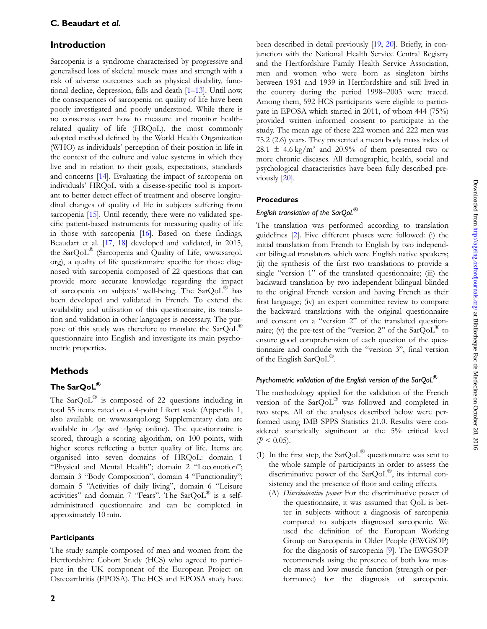## Introduction

Sarcopenia is a syndrome characterised by progressive and generalised loss of skeletal muscle mass and strength with a risk of adverse outcomes such as physical disability, functional decline, depression, falls and death [\[1](#page-5-0)–[13](#page-6-0)]. Until now, the consequences of sarcopenia on quality of life have been poorly investigated and poorly understood. While there is no consensus over how to measure and monitor healthrelated quality of life (HRQoL), the most commonly adopted method defined by the World Health Organization (WHO) as individuals' perception of their position in life in the context of the culture and value systems in which they live and in relation to their goals, expectations, standards and concerns [\[14](#page-6-0)]. Evaluating the impact of sarcopenia on individuals' HRQoL with a disease-specific tool is important to better detect effect of treatment and observe longitudinal changes of quality of life in subjects suffering from sarcopenia [[15\]](#page-6-0). Until recently, there were no validated specific patient-based instruments for measuring quality of life in those with sarcopenia [\[16\]](#page-6-0). Based on these findings, Beaudart et al. [\[17](#page-6-0), [18\]](#page-6-0) developed and validated, in 2015, the SarQoL® (Sarcopenia and Quality of Life, www.sarqol. org), a quality of life questionnaire specific for those diagnosed with sarcopenia composed of 22 questions that can provide more accurate knowledge regarding the impact of sarcopenia on subjects' well-being. The SarQoL® has been developed and validated in French. To extend the availability and utilisation of this questionnaire, its translation and validation in other languages is necessary. The purpose of this study was therefore to translate the SarQoL<sup>®</sup> questionnaire into English and investigate its main psychometric properties.

# **Methods**

# The SarOoL®

The  $\text{SarQoL}^{\circledR}$  is composed of 22 questions including in total 55 items rated on a 4-point Likert scale [\(Appendix 1,](http://ageing.oxfordjournals.org/lookup/suppl/doi:10.1093/ageing/afw192/-/DC1) [also available on www.sarqol.org; Supplementary data are](http://ageing.oxfordjournals.org/lookup/suppl/doi:10.1093/ageing/afw192/-/DC1) available in [Age and Ageing](http://ageing.oxfordjournals.org/lookup/suppl/doi:10.1093/ageing/afw192/-/DC1) online). The questionnaire is scored, through a scoring algorithm, on 100 points, with higher scores reflecting a better quality of life. Items are organised into seven domains of HRQoL: domain 1 "Physical and Mental Health"; domain 2 "Locomotion"; domain 3 "Body Composition"; domain 4 "Functionality"; domain 5 "Activities of daily living", domain 6 "Leisure activities" and domain 7 "Fears". The  $SarQoL^{\circledR}$  is a selfadministrated questionnaire and can be completed in approximately 10 min.

## **Participants**

The study sample composed of men and women from the Hertfordshire Cohort Study (HCS) who agreed to participate in the UK component of the European Project on Osteoarthritis (EPOSA). The HCS and EPOSA study have been described in detail previously [[19,](#page-6-0) [20](#page-6-0)]. Briefly, in conjunction with the National Health Service Central Registry and the Hertfordshire Family Health Service Association, men and women who were born as singleton births between 1931 and 1939 in Hertfordshire and still lived in the country during the period 1998–2003 were traced. Among them, 592 HCS participants were eligible to participate in EPOSA which started in 2011, of whom 444 (75%) provided written informed consent to participate in the study. The mean age of these 222 women and 222 men was 75.2 (2.6) years. They presented a mean body mass index of 28.1  $\pm$  4.6 kg/m<sup>2</sup> and 20.9% of them presented two or more chronic diseases. All demographic, health, social and psychological characteristics have been fully described previously [[20\]](#page-6-0).

## **Procedures**

## English translation of the SarQoL®

The translation was performed according to translation guidelines [[2\]](#page-5-0). Five different phases were followed: (i) the initial translation from French to English by two independent bilingual translators which were English native speakers; (ii) the synthesis of the first two translations to provide a single "version 1" of the translated questionnaire; (iii) the backward translation by two independent bilingual blinded to the original French version and having French as their first language; (iv) an expert committee review to compare the backward translations with the original questionnaire and consent on a "version 2" of the translated questionnaire; (v) the pre-test of the "version 2" of the  $SarQoL^{\otimes}$  to ensure good comprehension of each question of the questionnaire and conclude with the "version 3", final version of the English SarQoL®.

## Psychometric validation of the English version of the SarQoL $^{\circledR}$

The methodology applied for the validation of the French version of the SarQoL® was followed and completed in two steps. All of the analyses described below were performed using IMB SPPS Statistics 21.0. Results were considered statistically significant at the 5% critical level  $(P < 0.05)$ .

- (1) In the first step, the  $SarQoL^{\circledR}$  questionnaire was sent to the whole sample of participants in order to assess the discriminative power of the SarQoL®, its internal consistency and the presence of floor and ceiling effects.
	- (A) Discriminative power For the discriminative power of the questionnaire, it was assumed that QoL is better in subjects without a diagnosis of sarcopenia compared to subjects diagnosed sarcopenic. We used the definition of the European Working Group on Sarcopenia in Older People (EWGSOP) for the diagnosis of sarcopenia [\[9](#page-6-0)]. The EWGSOP recommends using the presence of both low muscle mass and low muscle function (strength or performance) for the diagnosis of sarcopenia.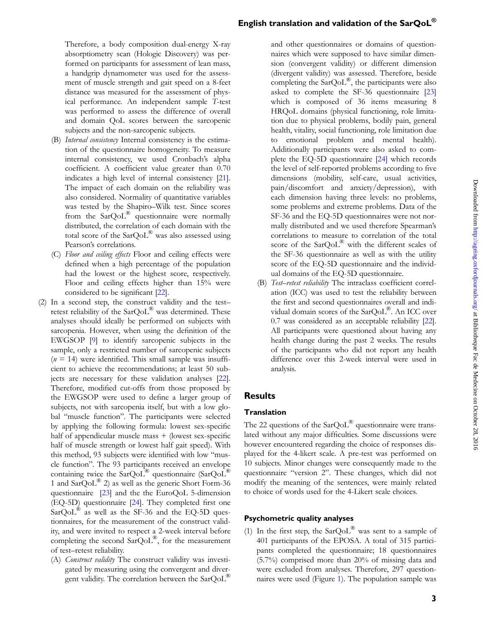Therefore, a body composition dual-energy X-ray absorptiometry scan (Hologic Discovery) was performed on participants for assessment of lean mass, a handgrip dynamometer was used for the assessment of muscle strength and gait speed on a 8-feet distance was measured for the assessment of physical performance. An independent sample T-test was performed to assess the difference of overall and domain QoL scores between the sarcopenic subjects and the non-sarcopenic subjects.

- (B) *Internal consistency* Internal consistency is the estimation of the questionnaire homogeneity. To measure internal consistency, we used Cronbach's alpha coefficient. A coefficient value greater than 0.70 indicates a high level of internal consistency [\[21\]](#page-6-0). The impact of each domain on the reliability was also considered. Normality of quantitative variables was tested by the Shapiro–Wilk test. Since scores from the  $SarQoL^{\circledR}$  questionnaire were normally distributed, the correlation of each domain with the total score of the SarQoL® was also assessed using Pearson's correlations.
- (C) Floor and ceiling effects Floor and ceiling effects were defined when a high percentage of the population had the lowest or the highest score, respectively. Floor and ceiling effects higher than 15% were considered to be significant [[22\]](#page-6-0).
- (2) In a second step, the construct validity and the test– retest reliability of the SarQoL® was determined. These analyses should ideally be performed on subjects with sarcopenia. However, when using the definition of the EWGSOP [\[9](#page-6-0)] to identify sarcopenic subjects in the sample, only a restricted number of sarcopenic subjects  $(n = 14)$  were identified. This small sample was insufficient to achieve the recommendations; at least 50 subjects are necessary for these validation analyses [\[22\]](#page-6-0). Therefore, modified cut-offs from those proposed by the EWGSOP were used to define a larger group of subjects, not with sarcopenia itself, but with a low global "muscle function". The participants were selected by applying the following formula: lowest sex-specific half of appendicular muscle mass  $+$  (lowest sex-specific half of muscle strength or lowest half gait speed). With this method, 93 subjects were identified with low "muscle function". The 93 participants received an envelope containing twice the SarQoL® questionnaire (SarQoL® 1 and  $\text{SarQoL}^{\circledR}$  2) as well as the generic Short Form-36 questionnaire [\[23\]](#page-6-0) and the the EuroQoL 5-dimension (EQ-5D) questionnaire [[24\]](#page-6-0). They completed first one  $SarQoL^{\circledR}$  as well as the SF-36 and the EQ-5D questionnaires, for the measurement of the construct validity, and were invited to respect a 2-week interval before completing the second SarQoL®, for the measurement of test–retest reliability.
	- (A) Construct validity The construct validity was investigated by measuring using the convergent and divergent validity. The correlation between the  $SarQoL^{\otimes}$

and other questionnaires or domains of questionnaires which were supposed to have similar dimension (convergent validity) or different dimension (divergent validity) was assessed. Therefore, beside completing the  $\text{SarQoL}^{\textcircled{\tiny{\textregistered}}},$  the participants were also asked to complete the SF-36 questionnaire [\[23](#page-6-0)] which is composed of 36 items measuring 8 HRQoL domains (physical functioning, role limitation due to physical problems, bodily pain, general health, vitality, social functioning, role limitation due to emotional problem and mental health). Additionally participants were also asked to complete the EQ-5D questionnaire [\[24\]](#page-6-0) which records the level of self-reported problems according to five dimensions (mobility, self-care, usual activities, pain/discomfort and anxiety/depression), with each dimension having three levels: no problems, some problems and extreme problems. Data of the SF-36 and the EQ-5D questionnaires were not normally distributed and we used therefore Spearman's correlations to measure to correlation of the total score of the SarQoL<sup>®</sup> with the different scales of the SF-36 questionnaire as well as with the utility score of the EQ-5D questionnaire and the individual domains of the EQ-5D questionnaire.

(B) Test–retest reliability The intraclass coefficient correlation (ICC) was used to test the reliability between the first and second questionnaires overall and individual domain scores of the SarQoL®. An ICC over 0.7 was considered as an acceptable reliability [\[22\]](#page-6-0). All participants were questioned about having any health change during the past 2 weeks. The results of the participants who did not report any health difference over this 2-week interval were used in analysis.

# **Results**

#### Translation

The 22 questions of the SarQoL<sup>®</sup> questionnaire were translated without any major difficulties. Some discussions were however encountered regarding the choice of responses displayed for the 4-likert scale. A pre-test was performed on 10 subjects. Minor changes were consequently made to the questionnaire "version 2". These changes, which did not modify the meaning of the sentences, were mainly related to choice of words used for the 4-Likert scale choices.

#### Psychometric quality analyses

(1) In the first step, the  $SarQoL^{\otimes}$  was sent to a sample of 401 participants of the EPOSA. A total of 315 participants completed the questionnaire; 18 questionnaires (5.7%) comprised more than 20% of missing data and were excluded from analyses. Therefore, 297 questionnaires were used (Figure [1](#page-3-0)). The population sample was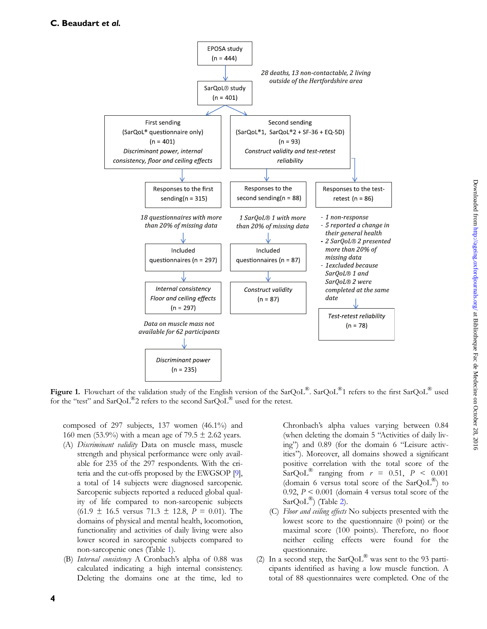<span id="page-3-0"></span>

Figure 1. Flowchart of the validation study of the English version of the SarOoL<sup>®</sup>. SarOoL<sup>®</sup>1 refers to the first SarOoL<sup>®</sup> used for the "test" and  $\text{SarOol}^{\circledR}$ 2 refers to the second  $\text{SarOol}^{\circledR}$  used for the retest.

composed of 297 subjects, 137 women (46.1%) and 160 men (53.9%) with a mean age of 79.5  $\pm$  2.62 years.

- (A) Discriminant validity Data on muscle mass, muscle strength and physical performance were only available for 235 of the 297 respondents. With the criteria and the cut-offs proposed by the EWGSOP [[9](#page-6-0)], a total of 14 subjects were diagnosed sarcopenic. Sarcopenic subjects reported a reduced global quality of life compared to non-sarcopenic subjects  $(61.9 \pm 16.5 \text{ versus } 71.3 \pm 12.8, P = 0.01)$ . The domains of physical and mental health, locomotion, functionality and activities of daily living were also lower scored in sarcopenic subjects compared to non-sarcopenic ones (Table [1\)](#page-4-0).
- (B) Internal consistency A Cronbach's alpha of 0.88 was calculated indicating a high internal consistency. Deleting the domains one at the time, led to

Chronbach's alpha values varying between 0.84 (when deleting the domain 5 "Activities of daily living") and 0.89 (for the domain 6 "Leisure activities"). Moreover, all domains showed a significant positive correlation with the total score of the SarQoL<sup>®</sup> ranging from  $r = 0.51$ ,  $P < 0.001$ (domain 6 versus total score of the  $SarQoL^{\mathcal{B}}$ ) to 0.92,  $P < 0.001$  (domain 4 versus total score of the SarQoL<sup>®</sup>) (Table [2\)](#page-4-0).

- (C) Floor and ceiling effects No subjects presented with the lowest score to the questionnaire (0 point) or the maximal score (100 points). Therefore, no floor neither ceiling effects were found for the questionnaire.
- (2) In a second step, the  $SarQoL^{\circledR}$  was sent to the 93 participants identified as having a low muscle function. A total of 88 questionnaires were completed. One of the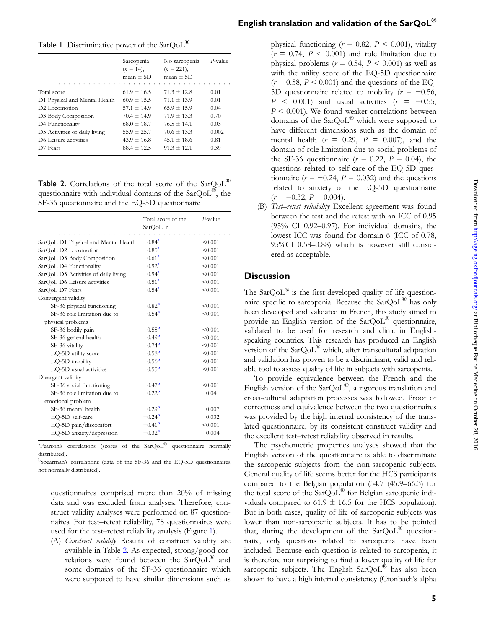<span id="page-4-0"></span>

|                               | Sarcopenia<br>$(n = 14)$ ,<br>mean $\pm$ SD | No sarcopenia<br>$(n = 221)$ ,<br>mean $\pm$ SD | $P$ -value |
|-------------------------------|---------------------------------------------|-------------------------------------------------|------------|
| Total score                   | $61.9 \pm 16.5$                             | $71.3 \pm 12.8$                                 | 0.01       |
| D1 Physical and Mental Health | $60.9 \pm 15.5$                             | $71.1 \pm 13.9$                                 | 0.01       |
| D <sub>2</sub> Locomotion     | $57.1 \pm 14.9$                             | $65.9 + 15.9$                                   | 0.04       |
| D3 Body Composition           | $70.4 + 14.9$                               | $71.9 + 13.3$                                   | 0.70       |
| D4 Functionality              | $68.0 \pm 18.7$                             | $76.5 \pm 14.1$                                 | 0.03       |
| D5 Activities of daily living | $55.9 + 25.7$                               | $70.6 + 13.3$                                   | 0.002      |
| D6 Leisure activities         | $43.9 + 16.8$                               | $45.1 \pm 18.6$                                 | 0.81       |
| D7 Fears                      | $88.4 + 12.5$                               | $91.3 + 12.1$                                   | 0.39       |

Table 2. Correlations of the total score of the SarQoL<sup>®</sup> questionnaire with individual domains of the SarQoL®, the SF-36 questionnaire and the EQ-5D questionnaire

|                                      | Total score of the<br>SarQoL, r | $P$ -value |
|--------------------------------------|---------------------------------|------------|
| SarQoL D1 Physical and Mental Health | $0.84^{\rm a}$                  | < 0.001    |
| SarQoL D2 Locomotion                 | $0.85^{\rm a}$                  | < 0.001    |
| SarQoL D3 Body Composition           | $0.61^a$                        | < 0.001    |
| SarQoL D4 Functionality              | $0.92^a$                        | < 0.001    |
| SarQoL D5 Activities of daily living | $0.94^{\rm a}$                  | < 0.001    |
|                                      | $0.51^{\rm a}$                  | < 0.001    |
| SarQoL D6 Leisure activities         | $0.54^{\rm a}$                  | < 0.001    |
| SarQoL D7 Fears                      |                                 |            |
| Convergent validity                  | 0.82 <sup>b</sup>               |            |
| SF-36 physical functioning           |                                 | < 0.001    |
| SF-36 role limitation due to         | $0.54^{\rm b}$                  | < 0.001    |
| physical problems                    |                                 |            |
| SF-36 bodily pain                    | $0.55^{\rm b}$                  | < 0.001    |
| SF-36 general health                 | 0.49 <sup>b</sup>               | < 0.001    |
| SF-36 vitality                       | 0.74 <sup>b</sup>               | < 0.001    |
| EQ-5D utility score                  | 0.58 <sup>b</sup>               | < 0.001    |
| EQ-5D mobility                       | $-0.56^{b}$                     | < 0.001    |
| EQ-5D usual activities               | $-0.55^{\rm b}$                 | < 0.001    |
| Divergent validity                   |                                 |            |
| SF-36 social functioning             | 0.47 <sup>b</sup>               | < 0.001    |
| SF-36 role limitation due to         | 0.22 <sup>b</sup>               | 0.04       |
| emotional problem                    |                                 |            |
| SF-36 mental health                  | 0.29 <sup>b</sup>               | 0.007      |
| EQ-5D, self-care                     | $-0.24^{b}$                     | 0.032      |
| EQ-5D pain/discomfort                | $-0.41^{\rm b}$                 | < 0.001    |
| EQ-5D anxiety/depression             | $-0.32^{b}$                     | 0.004      |

<sup>a</sup> Pearson's correlations (scores of the SarQoL<sup>®</sup> questionnaire normally distributed).

b Spearman's correlations (data of the SF-36 and the EQ-5D questionnaires not normally distributed).

questionnaires comprised more than 20% of missing data and was excluded from analyses. Therefore, construct validity analyses were performed on 87 questionnaires. For test–retest reliability, 78 questionnaires were used for the test–retest reliability analysis (Figure [1\)](#page-3-0).

(A) Construct validity Results of construct validity are available in Table 2. As expected, strong/good correlations were found between the SarQoL® and some domains of the SF-36 questionnaire which were supposed to have similar dimensions such as

physical functioning ( $r = 0.82$ ,  $P < 0.001$ ), vitality  $(r = 0.74, P < 0.001)$  and role limitation due to physical problems ( $r = 0.54$ ,  $P < 0.001$ ) as well as with the utility score of the EQ-5D questionnaire  $(r = 0.58, P \le 0.001)$  and the questions of the EQ-5D questionnaire related to mobility ( $r = -0.56$ ,  $P \leq 0.001$  and usual activities  $(r = -0.55,$  $P < 0.001$ ). We found weaker correlations between domains of the  $\text{SarQoL}^{\circledR}$  which were supposed to have different dimensions such as the domain of mental health  $(r = 0.29, P = 0.007)$ , and the domain of role limitation due to social problems of the SF-36 questionnaire ( $r = 0.22$ ,  $P = 0.04$ ), the questions related to self-care of the EQ-5D questionnaire ( $r = -0.24$ ,  $P = 0.032$ ) and the questions related to anxiety of the EQ-5D questionnaire  $(r = -0.32, P = 0.004).$ 

(B) Test-retest reliability Excellent agreement was found between the test and the retest with an ICC of 0.95 (95% CI 0.92–0.97). For individual domains, the lowest ICC was found for domain 6 (ICC of 0.78, 95%CI 0.58–0.88) which is however still considered as acceptable.

### **Discussion**

The  $\text{SarQoL}^{\circledR}$  is the first developed quality of life questionnaire specific to sarcopenia. Because the SarQoL® has only been developed and validated in French, this study aimed to provide an English version of the SarQoL® questionnaire, validated to be used for research and clinic in Englishspeaking countries. This research has produced an English version of the SarQoL® which, after transcultural adaptation and validation has proven to be a discriminant, valid and reliable tool to assess quality of life in subjects with sarcopenia.

To provide equivalence between the French and the English version of the  $SarQoL^{\mathfrak{B}}$ , a rigorous translation and cross-cultural adaptation processes was followed. Proof of correctness and equivalence between the two questionnaires was provided by the high internal consistency of the translated questionnaire, by its consistent construct validity and the excellent test–retest reliability observed in results.

The psychometric properties analyses showed that the English version of the questionnaire is able to discriminate the sarcopenic subjects from the non-sarcopenic subjects. General quality of life seems better for the HCS participants compared to the Belgian population (54.7 (45.9–66.3) for the total score of the SarQoL® for Belgian sarcopenic individuals compared to 61.9  $\pm$  16.5 for the HCS population). But in both cases, quality of life of sarcopenic subjects was lower than non-sarcopenic subjects. It has to be pointed that, during the development of the SarQoL® questionnaire, only questions related to sarcopenia have been included. Because each question is related to sarcopenia, it is therefore not surprising to find a lower quality of life for sarcopenic subjects. The English SarQoL<sup>®</sup> has also been shown to have a high internal consistency (Cronbach's alpha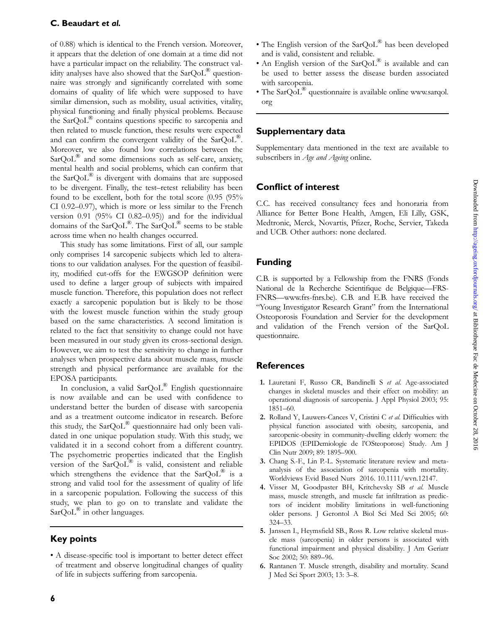## <span id="page-5-0"></span>C. Beaudart et al.

of 0.88) which is identical to the French version. Moreover, it appears that the deletion of one domain at a time did not have a particular impact on the reliability. The construct validity analyses have also showed that the  $SarQoL^{\circledR}$  questionnaire was strongly and significantly correlated with some domains of quality of life which were supposed to have similar dimension, such as mobility, usual activities, vitality, physical functioning and finally physical problems. Because the SarQoL® contains questions specific to sarcopenia and then related to muscle function, these results were expected and can confirm the convergent validity of the SarQoL®. Moreover, we also found low correlations between the  $SarQoL^{\circledR}$  and some dimensions such as self-care, anxiety, mental health and social problems, which can confirm that the  $\text{SarQoL}^{\circledR}$  is divergent with domains that are supposed to be divergent. Finally, the test–retest reliability has been found to be excellent, both for the total score (0.95 (95% CI 0.92–0.97), which is more or less similar to the French version 0.91 (95% CI 0.82–0.95)) and for the individual domains of the SarQoL®. The SarQoL® seems to be stable across time when no health changes occurred.

This study has some limitations. First of all, our sample only comprises 14 sarcopenic subjects which led to alterations to our validation analyses. For the question of feasibility, modified cut-offs for the EWGSOP definition were used to define a larger group of subjects with impaired muscle function. Therefore, this population does not reflect exactly a sarcopenic population but is likely to be those with the lowest muscle function within the study group based on the same characteristics. A second limitation is related to the fact that sensitivity to change could not have been measured in our study given its cross-sectional design. However, we aim to test the sensitivity to change in further analyses when prospective data about muscle mass, muscle strength and physical performance are available for the EPOSA participants.

In conclusion, a valid SarQoL® English questionnaire is now available and can be used with confidence to understand better the burden of disease with sarcopenia and as a treatment outcome indicator in research. Before this study, the  $SarQoL<sup>®</sup>$  questionnaire had only been validated in one unique population study. With this study, we validated it in a second cohort from a different country. The psychometric properties indicated that the English version of the SarQoL® is valid, consistent and reliable which strengthens the evidence that the  $SarQoL^{\otimes}$  is a strong and valid tool for the assessment of quality of life in a sarcopenic population. Following the success of this study, we plan to go on to translate and validate the  $SarQoL^{\circledR}$  in other languages.

# Key points

• A disease-specific tool is important to better detect effect of treatment and observe longitudinal changes of quality of life in subjects suffering from sarcopenia.

- The English version of the SarOoL<sup>®</sup> has been developed and is valid, consistent and reliable.
- An English version of the SarQoL® is available and can be used to better assess the disease burden associated with sarcopenia.
- The  $\text{SarQoL}^{\circledR}$  questionnaire is available online www.sarqol. org

## Supplementary data

[Supplementary data mentioned in the text are available to](http://ageing.oxfordjournals.org/lookup/suppl/doi:10.1093/ageing/afw192/-/DC1) subscribers in [Age and Ageing](http://ageing.oxfordjournals.org/lookup/suppl/doi:10.1093/ageing/afw192/-/DC1) online.

## Conflict of interest

C.C. has received consultancy fees and honoraria from Alliance for Better Bone Health, Amgen, Eli Lilly, GSK, Medtronic, Merck, Novartis, Pfizer, Roche, Servier, Takeda and UCB. Other authors: none declared.

# Funding

C.B. is supported by a Fellowship from the FNRS (Fonds National de la Recherche Scientifique de Belgique—FRS-FNRS—www.frs-fnrs.be). C.B. and E.B. have received the "Young Investigator Research Grant" from the International Osteoporosis Foundation and Servier for the development and validation of the French version of the SarQoL questionnaire.

# **References**

- 1. Lauretani F, Russo CR, Bandinelli S et al. Age-associated changes in skeletal muscles and their effect on mobility: an operational diagnosis of sarcopenia. J Appl Physiol 2003; 95: 1851–60.
- 2. Rolland Y, Lauwers-Cances V, Cristini C et al. Difficulties with physical function associated with obesity, sarcopenia, and sarcopenic-obesity in community-dwelling elderly women: the EPIDOS (EPIDemiologie de l'OSteoporose) Study. Am J Clin Nutr 2009; 89: 1895–900.
- 3. Chang S.-F., Lin P.-L. Systematic literature review and metaanalysis of the association of sarcopenia with mortality. Worldviews Evid Based Nurs 2016. [10.1111/wvn.12147](http://dx.doi.org/10.1111/wvn.12147).
- 4. Visser M, Goodpaster BH, Kritchevsky SB et al. Muscle mass, muscle strength, and muscle fat infiltration as predictors of incident mobility limitations in well-functioning older persons. J Gerontol A Biol Sci Med Sci 2005; 60: 324–33.
- 5. Janssen I., Heymsfield SB., Ross R. Low relative skeletal muscle mass (sarcopenia) in older persons is associated with functional impairment and physical disability. J Am Geriatr Soc 2002; 50: 889–96.
- 6. Rantanen T. Muscle strength, disability and mortality. Scand J Med Sci Sport 2003; 13: 3–8.